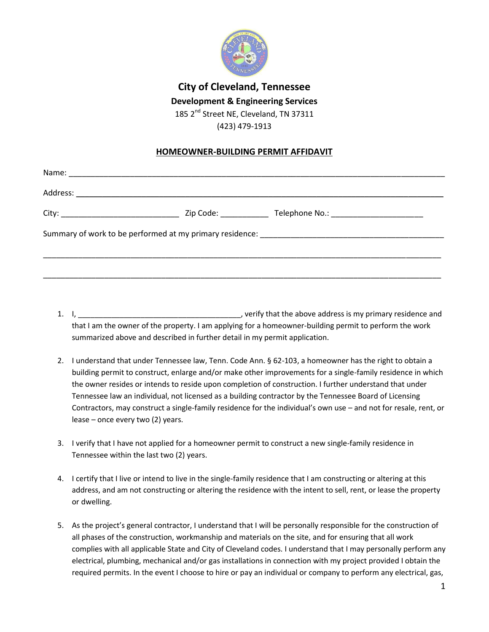

## **City of Cleveland, Tennessee Development & Engineering Services**

185 2<sup>nd</sup> Street NE, Cleveland, TN 37311 (423) 479-1913

## **HOMEOWNER-BUILDING PERMIT AFFIDAVIT**

- 1. I, \_\_\_\_\_\_\_\_\_\_\_\_\_\_\_\_\_\_\_\_\_\_\_\_\_\_\_\_\_\_\_\_\_\_\_\_\_\_\_, verify that the above address is my primary residence and that I am the owner of the property. I am applying for a homeowner-building permit to perform the work summarized above and described in further detail in my permit application.
- 2. I understand that under Tennessee law, Tenn. Code Ann. § 62-103, a homeowner has the right to obtain a building permit to construct, enlarge and/or make other improvements for a single-family residence in which the owner resides or intends to reside upon completion of construction. I further understand that under Tennessee law an individual, not licensed as a building contractor by the Tennessee Board of Licensing Contractors, may construct a single-family residence for the individual's own use – and not for resale, rent, or lease – once every two (2) years.
- 3. I verify that I have not applied for a homeowner permit to construct a new single-family residence in Tennessee within the last two (2) years.
- 4. I certify that I live or intend to live in the single-family residence that I am constructing or altering at this address, and am not constructing or altering the residence with the intent to sell, rent, or lease the property or dwelling.
- 5. As the project's general contractor, I understand that I will be personally responsible for the construction of all phases of the construction, workmanship and materials on the site, and for ensuring that all work complies with all applicable State and City of Cleveland codes. I understand that I may personally perform any electrical, plumbing, mechanical and/or gas installations in connection with my project provided I obtain the required permits. In the event I choose to hire or pay an individual or company to perform any electrical, gas,